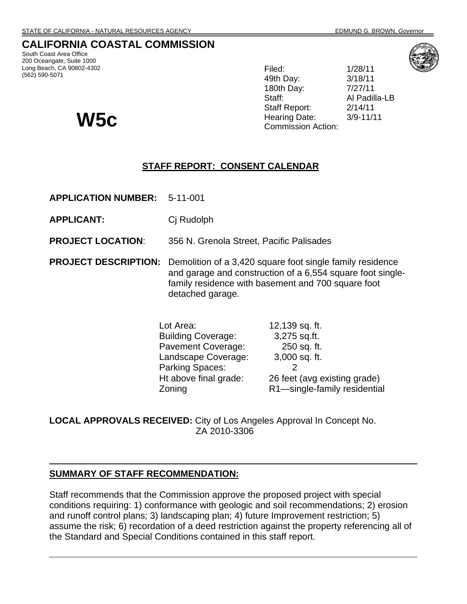## **CALIFORNIA COASTAL COMMISSION**

South Coast Area Office 200 Oceangate, Suite 1000 Long Beach, CA 90802-4302 (562) 590-5071

Filed: 1/28/11 49th Day: 3/18/11 180th Day: 7/27/11 Staff: Al Padilla-LB Staff Report: 2/14/11 **W5C** Hearing Date: 3/9-11/11 **W5C** Commission Action:



### **STAFF REPORT: CONSENT CALENDAR**

**APPLICATION NUMBER:** 5-11-001

- **APPLICANT:** Cj Rudolph
- **PROJECT LOCATION**: 356 N. Grenola Street, Pacific Palisades
- **PROJECT DESCRIPTION:** Demolition of a 3,420 square foot single family residence and garage and construction of a 6,554 square foot singlefamily residence with basement and 700 square foot detached garage.

| Lot Area:                 | 12,139 sq. ft.               |
|---------------------------|------------------------------|
| <b>Building Coverage:</b> | 3,275 sq.ft.                 |
| <b>Pavement Coverage:</b> | 250 sq. ft.                  |
| Landscape Coverage:       | 3,000 sq. ft.                |
| <b>Parking Spaces:</b>    |                              |
| Ht above final grade:     | 26 feet (avg existing grade) |
| Zoning                    | R1-single-family residential |

**LOCAL APPROVALS RECEIVED:** City of Los Angeles Approval In Concept No. ZA 2010-3306

#### **SUMMARY OF STAFF RECOMMENDATION:**

Staff recommends that the Commission approve the proposed project with special conditions requiring: 1) conformance with geologic and soil recommendations; 2) erosion and runoff control plans; 3) landscaping plan; 4) future Improvement restriction; 5) assume the risk; 6) recordation of a deed restriction against the property referencing all of the Standard and Special Conditions contained in this staff report.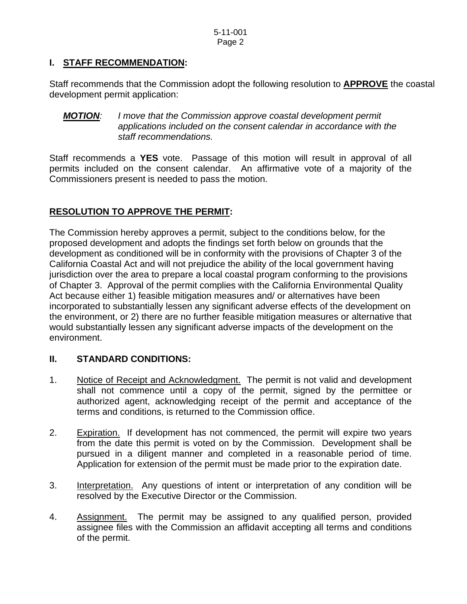## **I. STAFF RECOMMENDATION:**

Staff recommends that the Commission adopt the following resolution to **APPROVE** the coastal development permit application:

#### *MOTION: I move that the Commission approve coastal development permit applications included on the consent calendar in accordance with the staff recommendations.*

Staff recommends a **YES** vote. Passage of this motion will result in approval of all permits included on the consent calendar. An affirmative vote of a majority of the Commissioners present is needed to pass the motion.

## **RESOLUTION TO APPROVE THE PERMIT:**

The Commission hereby approves a permit, subject to the conditions below, for the proposed development and adopts the findings set forth below on grounds that the development as conditioned will be in conformity with the provisions of Chapter 3 of the California Coastal Act and will not prejudice the ability of the local government having jurisdiction over the area to prepare a local coastal program conforming to the provisions of Chapter 3. Approval of the permit complies with the California Environmental Quality Act because either 1) feasible mitigation measures and/ or alternatives have been incorporated to substantially lessen any significant adverse effects of the development on the environment, or 2) there are no further feasible mitigation measures or alternative that would substantially lessen any significant adverse impacts of the development on the environment.

#### **II. STANDARD CONDITIONS:**

- 1. Notice of Receipt and Acknowledgment. The permit is not valid and development shall not commence until a copy of the permit, signed by the permittee or authorized agent, acknowledging receipt of the permit and acceptance of the terms and conditions, is returned to the Commission office.
- 2. Expiration. If development has not commenced, the permit will expire two years from the date this permit is voted on by the Commission. Development shall be pursued in a diligent manner and completed in a reasonable period of time. Application for extension of the permit must be made prior to the expiration date.
- 3. Interpretation. Any questions of intent or interpretation of any condition will be resolved by the Executive Director or the Commission.
- 4. Assignment. The permit may be assigned to any qualified person, provided assignee files with the Commission an affidavit accepting all terms and conditions of the permit.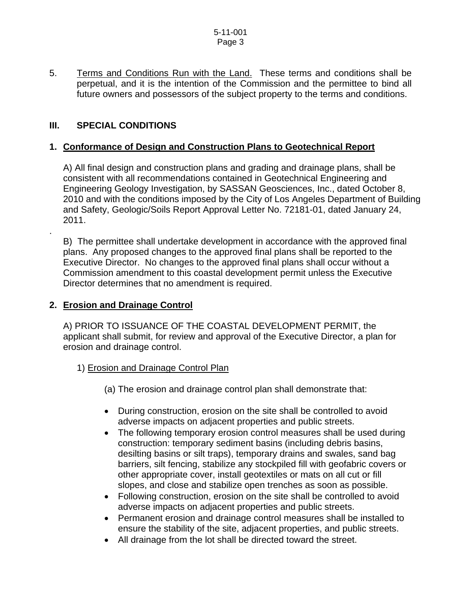5. Terms and Conditions Run with the Land. These terms and conditions shall be perpetual, and it is the intention of the Commission and the permittee to bind all future owners and possessors of the subject property to the terms and conditions.

## **III. SPECIAL CONDITIONS**

.

### **1. Conformance of Design and Construction Plans to Geotechnical Report**

 A) All final design and construction plans and grading and drainage plans, shall be consistent with all recommendations contained in Geotechnical Engineering and Engineering Geology Investigation, by SASSAN Geosciences, Inc., dated October 8, 2010 and with the conditions imposed by the City of Los Angeles Department of Building and Safety, Geologic/Soils Report Approval Letter No. 72181-01, dated January 24, 2011.

 B) The permittee shall undertake development in accordance with the approved final plans. Any proposed changes to the approved final plans shall be reported to the Executive Director. No changes to the approved final plans shall occur without a Commission amendment to this coastal development permit unless the Executive Director determines that no amendment is required.

#### **2. Erosion and Drainage Control**

 A) PRIOR TO ISSUANCE OF THE COASTAL DEVELOPMENT PERMIT, the applicant shall submit, for review and approval of the Executive Director, a plan for erosion and drainage control.

- 1) Erosion and Drainage Control Plan
	- (a) The erosion and drainage control plan shall demonstrate that:
	- During construction, erosion on the site shall be controlled to avoid adverse impacts on adjacent properties and public streets.
	- The following temporary erosion control measures shall be used during construction: temporary sediment basins (including debris basins, desilting basins or silt traps), temporary drains and swales, sand bag barriers, silt fencing, stabilize any stockpiled fill with geofabric covers or other appropriate cover, install geotextiles or mats on all cut or fill slopes, and close and stabilize open trenches as soon as possible.
	- Following construction, erosion on the site shall be controlled to avoid adverse impacts on adjacent properties and public streets.
	- Permanent erosion and drainage control measures shall be installed to ensure the stability of the site, adjacent properties, and public streets.
	- All drainage from the lot shall be directed toward the street.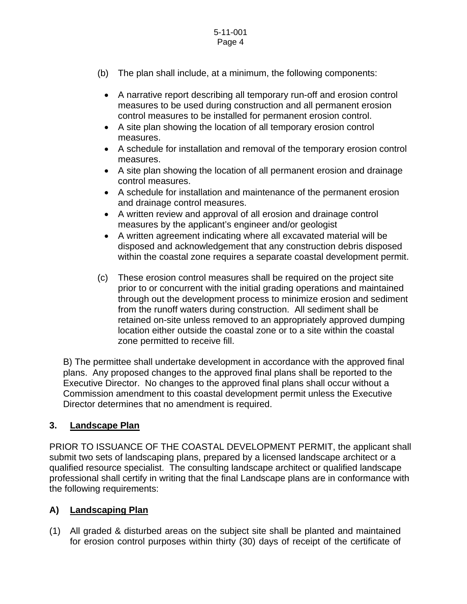- (b) The plan shall include, at a minimum, the following components:
	- A narrative report describing all temporary run-off and erosion control measures to be used during construction and all permanent erosion control measures to be installed for permanent erosion control.
	- A site plan showing the location of all temporary erosion control measures.
	- A schedule for installation and removal of the temporary erosion control measures.
	- A site plan showing the location of all permanent erosion and drainage control measures.
	- A schedule for installation and maintenance of the permanent erosion and drainage control measures.
	- A written review and approval of all erosion and drainage control measures by the applicant's engineer and/or geologist
	- A written agreement indicating where all excavated material will be disposed and acknowledgement that any construction debris disposed within the coastal zone requires a separate coastal development permit.
- (c) These erosion control measures shall be required on the project site prior to or concurrent with the initial grading operations and maintained through out the development process to minimize erosion and sediment from the runoff waters during construction. All sediment shall be retained on-site unless removed to an appropriately approved dumping location either outside the coastal zone or to a site within the coastal zone permitted to receive fill.

 B) The permittee shall undertake development in accordance with the approved final plans. Any proposed changes to the approved final plans shall be reported to the Executive Director. No changes to the approved final plans shall occur without a Commission amendment to this coastal development permit unless the Executive Director determines that no amendment is required.

## **3. Landscape Plan**

PRIOR TO ISSUANCE OF THE COASTAL DEVELOPMENT PERMIT, the applicant shall submit two sets of landscaping plans, prepared by a licensed landscape architect or a qualified resource specialist. The consulting landscape architect or qualified landscape professional shall certify in writing that the final Landscape plans are in conformance with the following requirements:

## **A) Landscaping Plan**

(1) All graded & disturbed areas on the subject site shall be planted and maintained for erosion control purposes within thirty (30) days of receipt of the certificate of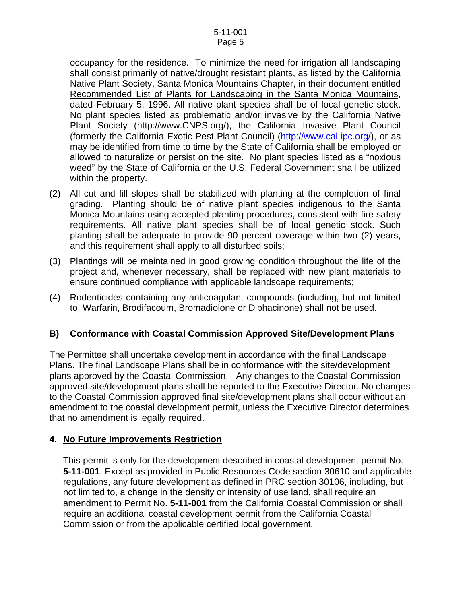occupancy for the residence. To minimize the need for irrigation all landscaping shall consist primarily of native/drought resistant plants, as listed by the California Native Plant Society, Santa Monica Mountains Chapter, in their document entitled Recommended List of Plants for Landscaping in the Santa Monica Mountains, dated February 5, 1996. All native plant species shall be of local genetic stock. No plant species listed as problematic and/or invasive by the California Native Plant Society ([http://www.CNPS.org/](http://www.cnps.org/)), the California Invasive Plant Council (formerly the California Exotic Pest Plant Council) [\(http://www.cal-ipc.org/](http://www.cal-ipc.org/)), or as may be identified from time to time by the State of California shall be employed or allowed to naturalize or persist on the site. No plant species listed as a "noxious weed" by the State of California or the U.S. Federal Government shall be utilized within the property.

- (2) All cut and fill slopes shall be stabilized with planting at the completion of final grading. Planting should be of native plant species indigenous to the Santa Monica Mountains using accepted planting procedures, consistent with fire safety requirements. All native plant species shall be of local genetic stock. Such planting shall be adequate to provide 90 percent coverage within two (2) years, and this requirement shall apply to all disturbed soils;
- (3) Plantings will be maintained in good growing condition throughout the life of the project and, whenever necessary, shall be replaced with new plant materials to ensure continued compliance with applicable landscape requirements;
- (4) Rodenticides containing any anticoagulant compounds (including, but not limited to, Warfarin, Brodifacoum, Bromadiolone or Diphacinone) shall not be used.

#### **B) Conformance with Coastal Commission Approved Site/Development Plans**

The Permittee shall undertake development in accordance with the final Landscape Plans. The final Landscape Plans shall be in conformance with the site/development plans approved by the Coastal Commission. Any changes to the Coastal Commission approved site/development plans shall be reported to the Executive Director. No changes to the Coastal Commission approved final site/development plans shall occur without an amendment to the coastal development permit, unless the Executive Director determines that no amendment is legally required.

#### **4. No Future Improvements Restriction**

This permit is only for the development described in coastal development permit No. **5-11-001**. Except as provided in Public Resources Code section 30610 and applicable regulations, any future development as defined in PRC section 30106, including, but not limited to, a change in the density or intensity of use land, shall require an amendment to Permit No. **5-11-001** from the California Coastal Commission or shall require an additional coastal development permit from the California Coastal Commission or from the applicable certified local government.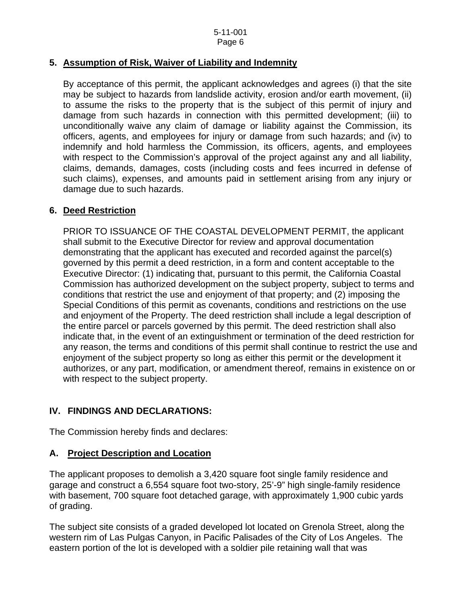#### **5. Assumption of Risk, Waiver of Liability and Indemnity**

 By acceptance of this permit, the applicant acknowledges and agrees (i) that the site may be subject to hazards from landslide activity, erosion and/or earth movement, (ii) to assume the risks to the property that is the subject of this permit of injury and damage from such hazards in connection with this permitted development; (iii) to unconditionally waive any claim of damage or liability against the Commission, its officers, agents, and employees for injury or damage from such hazards; and (iv) to indemnify and hold harmless the Commission, its officers, agents, and employees with respect to the Commission's approval of the project against any and all liability, claims, demands, damages, costs (including costs and fees incurred in defense of such claims), expenses, and amounts paid in settlement arising from any injury or damage due to such hazards.

#### **6. Deed Restriction**

PRIOR TO ISSUANCE OF THE COASTAL DEVELOPMENT PERMIT, the applicant shall submit to the Executive Director for review and approval documentation demonstrating that the applicant has executed and recorded against the parcel(s) governed by this permit a deed restriction, in a form and content acceptable to the Executive Director: (1) indicating that, pursuant to this permit, the California Coastal Commission has authorized development on the subject property, subject to terms and conditions that restrict the use and enjoyment of that property; and (2) imposing the Special Conditions of this permit as covenants, conditions and restrictions on the use and enjoyment of the Property. The deed restriction shall include a legal description of the entire parcel or parcels governed by this permit. The deed restriction shall also indicate that, in the event of an extinguishment or termination of the deed restriction for any reason, the terms and conditions of this permit shall continue to restrict the use and enjoyment of the subject property so long as either this permit or the development it authorizes, or any part, modification, or amendment thereof, remains in existence on or with respect to the subject property.

#### **IV. FINDINGS AND DECLARATIONS:**

The Commission hereby finds and declares:

#### **A. Project Description and Location**

The applicant proposes to demolish a 3,420 square foot single family residence and garage and construct a 6,554 square foot two-story, 25'-9" high single-family residence with basement, 700 square foot detached garage, with approximately 1,900 cubic yards of grading.

The subject site consists of a graded developed lot located on Grenola Street, along the western rim of Las Pulgas Canyon, in Pacific Palisades of the City of Los Angeles. The eastern portion of the lot is developed with a soldier pile retaining wall that was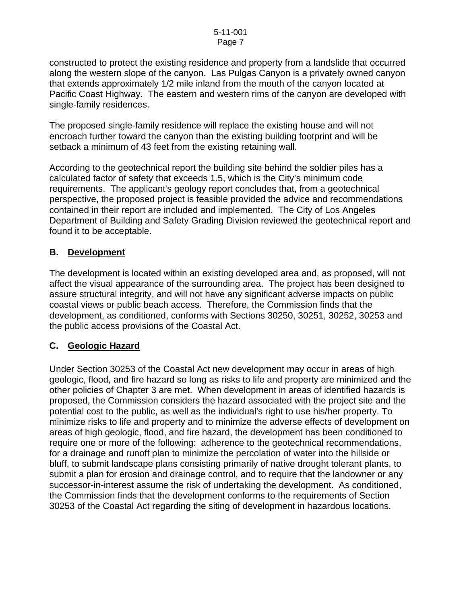constructed to protect the existing residence and property from a landslide that occurred along the western slope of the canyon. Las Pulgas Canyon is a privately owned canyon that extends approximately 1/2 mile inland from the mouth of the canyon located at Pacific Coast Highway. The eastern and western rims of the canyon are developed with single-family residences.

The proposed single-family residence will replace the existing house and will not encroach further toward the canyon than the existing building footprint and will be setback a minimum of 43 feet from the existing retaining wall.

According to the geotechnical report the building site behind the soldier piles has a calculated factor of safety that exceeds 1.5, which is the City's minimum code requirements. The applicant's geology report concludes that, from a geotechnical perspective, the proposed project is feasible provided the advice and recommendations contained in their report are included and implemented. The City of Los Angeles Department of Building and Safety Grading Division reviewed the geotechnical report and found it to be acceptable.

### **B. Development**

The development is located within an existing developed area and, as proposed, will not affect the visual appearance of the surrounding area. The project has been designed to assure structural integrity, and will not have any significant adverse impacts on public coastal views or public beach access. Therefore, the Commission finds that the development, as conditioned, conforms with Sections 30250, 30251, 30252, 30253 and the public access provisions of the Coastal Act.

#### **C. Geologic Hazard**

Under Section 30253 of the Coastal Act new development may occur in areas of high geologic, flood, and fire hazard so long as risks to life and property are minimized and the other policies of Chapter 3 are met. When development in areas of identified hazards is proposed, the Commission considers the hazard associated with the project site and the potential cost to the public, as well as the individual's right to use his/her property. To minimize risks to life and property and to minimize the adverse effects of development on areas of high geologic, flood, and fire hazard, the development has been conditioned to require one or more of the following: adherence to the geotechnical recommendations, for a drainage and runoff plan to minimize the percolation of water into the hillside or bluff, to submit landscape plans consisting primarily of native drought tolerant plants, to submit a plan for erosion and drainage control, and to require that the landowner or any successor-in-interest assume the risk of undertaking the development. As conditioned, the Commission finds that the development conforms to the requirements of Section 30253 of the Coastal Act regarding the siting of development in hazardous locations.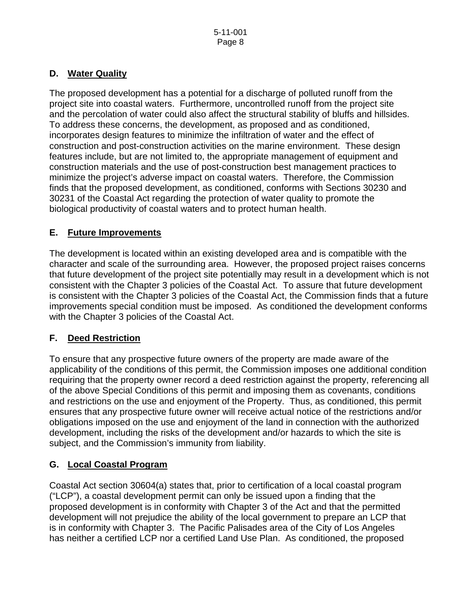## **D. Water Quality**

The proposed development has a potential for a discharge of polluted runoff from the project site into coastal waters. Furthermore, uncontrolled runoff from the project site and the percolation of water could also affect the structural stability of bluffs and hillsides. To address these concerns, the development, as proposed and as conditioned, incorporates design features to minimize the infiltration of water and the effect of construction and post-construction activities on the marine environment. These design features include, but are not limited to, the appropriate management of equipment and construction materials and the use of post-construction best management practices to minimize the project's adverse impact on coastal waters. Therefore, the Commission finds that the proposed development, as conditioned, conforms with Sections 30230 and 30231 of the Coastal Act regarding the protection of water quality to promote the biological productivity of coastal waters and to protect human health.

# **E. Future Improvements**

The development is located within an existing developed area and is compatible with the character and scale of the surrounding area. However, the proposed project raises concerns that future development of the project site potentially may result in a development which is not consistent with the Chapter 3 policies of the Coastal Act. To assure that future development is consistent with the Chapter 3 policies of the Coastal Act, the Commission finds that a future improvements special condition must be imposed. As conditioned the development conforms with the Chapter 3 policies of the Coastal Act.

# **F. Deed Restriction**

To ensure that any prospective future owners of the property are made aware of the applicability of the conditions of this permit, the Commission imposes one additional condition requiring that the property owner record a deed restriction against the property, referencing all of the above Special Conditions of this permit and imposing them as covenants, conditions and restrictions on the use and enjoyment of the Property. Thus, as conditioned, this permit ensures that any prospective future owner will receive actual notice of the restrictions and/or obligations imposed on the use and enjoyment of the land in connection with the authorized development, including the risks of the development and/or hazards to which the site is subject, and the Commission's immunity from liability.

# **G. Local Coastal Program**

Coastal Act section 30604(a) states that, prior to certification of a local coastal program ("LCP"), a coastal development permit can only be issued upon a finding that the proposed development is in conformity with Chapter 3 of the Act and that the permitted development will not prejudice the ability of the local government to prepare an LCP that is in conformity with Chapter 3. The Pacific Palisades area of the City of Los Angeles has neither a certified LCP nor a certified Land Use Plan. As conditioned, the proposed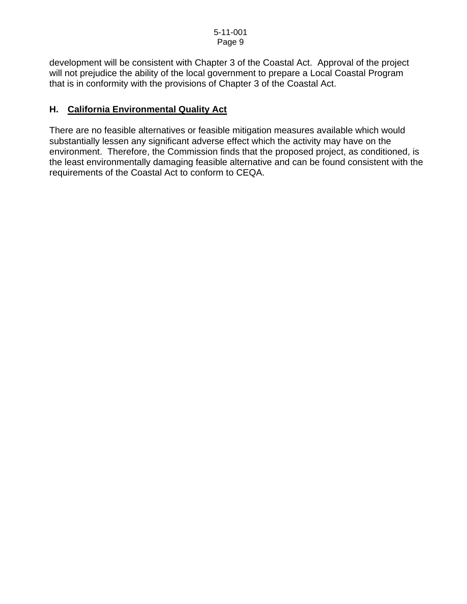development will be consistent with Chapter 3 of the Coastal Act. Approval of the project will not prejudice the ability of the local government to prepare a Local Coastal Program that is in conformity with the provisions of Chapter 3 of the Coastal Act.

#### **H. California Environmental Quality Act**

There are no feasible alternatives or feasible mitigation measures available which would substantially lessen any significant adverse effect which the activity may have on the environment. Therefore, the Commission finds that the proposed project, as conditioned, is the least environmentally damaging feasible alternative and can be found consistent with the requirements of the Coastal Act to conform to CEQA.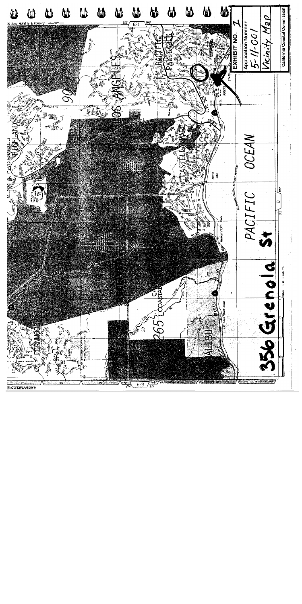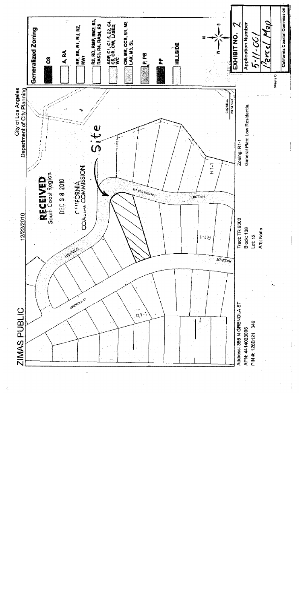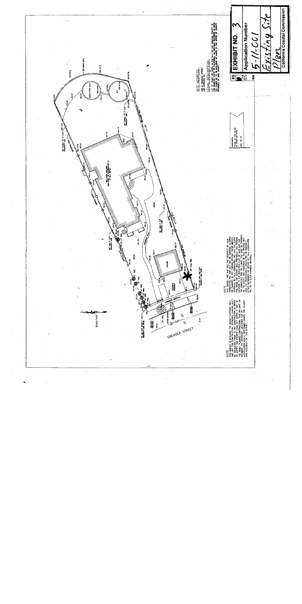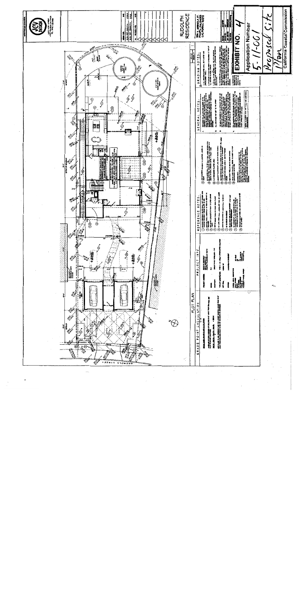